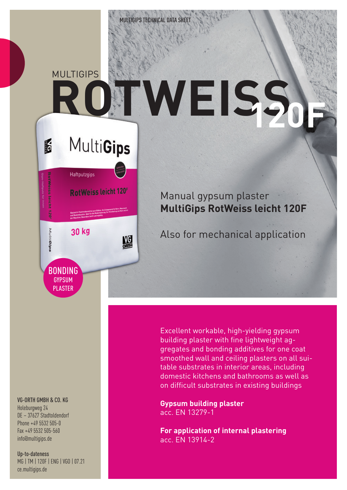# **MULTIGIPS ROWEISS**

## **MultiGips**

16



### Manual gypsum plaster **MultiGips RotWeiss leicht 120F**

Also for mechanical application

Excellent workable, high-yielding gypsum building plaster with fine lightweight aggregates and bonding additives for one coat smoothed wall and ceiling plasters on all suitable substrates in interior areas, including domestic kitchens and bathrooms as well as on difficult substrates in existing buildings

**Gypsum building plaster** acc. EN 13279-1

**For application of internal plastering** acc. EN 13914-2

#### VG-ORTH GMBH & CO. KG

Holeburgweg 24 DE – 37627 Stadtoldendorf Phone +49 5532 505-0 Fax +49 5532 505-560 info@multigips.de

#### Up-to-dateness MG | TM | 120F | ENG | VGO | 07.21 ce.multigips.de